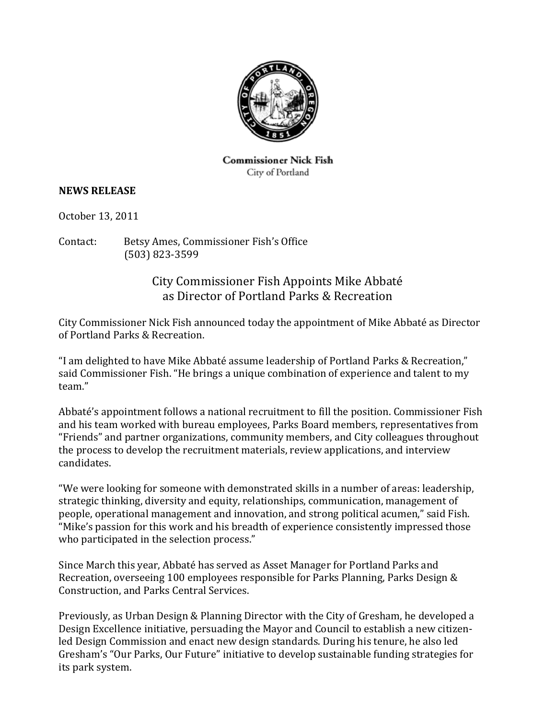

**Commissioner Nick Fish** City of Portland

## **NEWS RELEASE**

October 13, 2011

Contact: Betsy Ames, Commissioner Fish's Office (503) 823‐3599

## City Commissioner Fish Appoints Mike Abbaté as Director of Portland Parks & Recreation

City Commissioner Nick Fish announced today the appointment of Mike Abbaté as Director of Portland Parks & Recreation.

"I am delighted to have Mike Abbaté assume leadership of Portland Parks & Recreation," said Commissioner Fish. "He brings a unique combination of experience and talent to my team."

Abbaté's appointment follows a national recruitment to fill the position. Commissioner Fish and his team worked with bureau employees, Parks Board members, representatives from "Friends" and partner organizations, community members, and City colleagues throughout the process to develop the recruitment materials, review applications, and interview candidates.

"We were looking for someone with demonstrated skills in a number of areas: leadership, strategic thinking, diversity and equity, relationships, communication, management of people, operational management and innovation, and strong political acumen," said Fish. "Mike's passion for this work and his breadth of experience consistently impressed those who participated in the selection process."

Since March this year, Abbaté has served as Asset Manager for Portland Parks and Recreation, overseeing 100 employees responsible for Parks Planning, Parks Design & Construction, and Parks Central Services.

Previously, as Urban Design & Planning Director with the City of Gresham, he developed a Design Excellence initiative, persuading the Mayor and Council to establish a new citizenled Design Commission and enact new design standards. During his tenure, he also led Gresham's "Our Parks, Our Future" initiative to develop sustainable funding strategies for its park system.